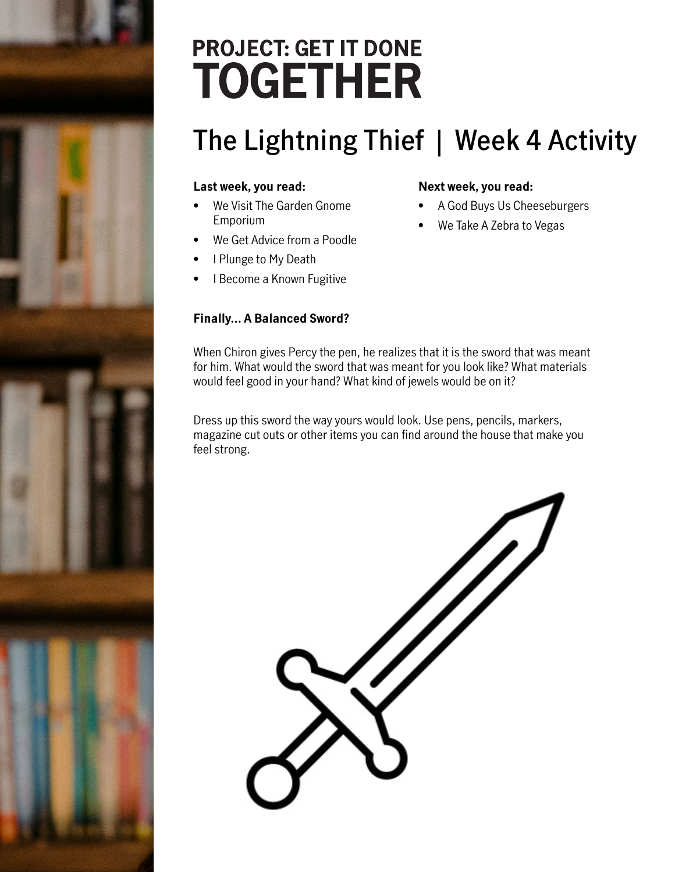# **PROJECT: GET IT DONE TOGETHER**

## **The Lightning Thief | Week 4 Activity**

#### **Last week, you read:**

- We Visit The Garden Gnome Emporium
- We Get Advice from a Poodle
- I Plunge to My Death
- I Become a Known Fugitive

#### **Finally… A Balanced Sword?**

#### **Next week, you read:**

- A God Buys Us Cheeseburgers
- We Take A Zebra to Vegas

When Chiron gives Percy the pen, he realizes that it is the sword that was meant for him. What would the sword that was meant for you look like? What materials would feel good in your hand? What kind of jewels would be on it?

Dress up this sword the way yours would look. Use pens, pencils, markers, magazine cut outs or other items you can find around the house that make you feel strong.